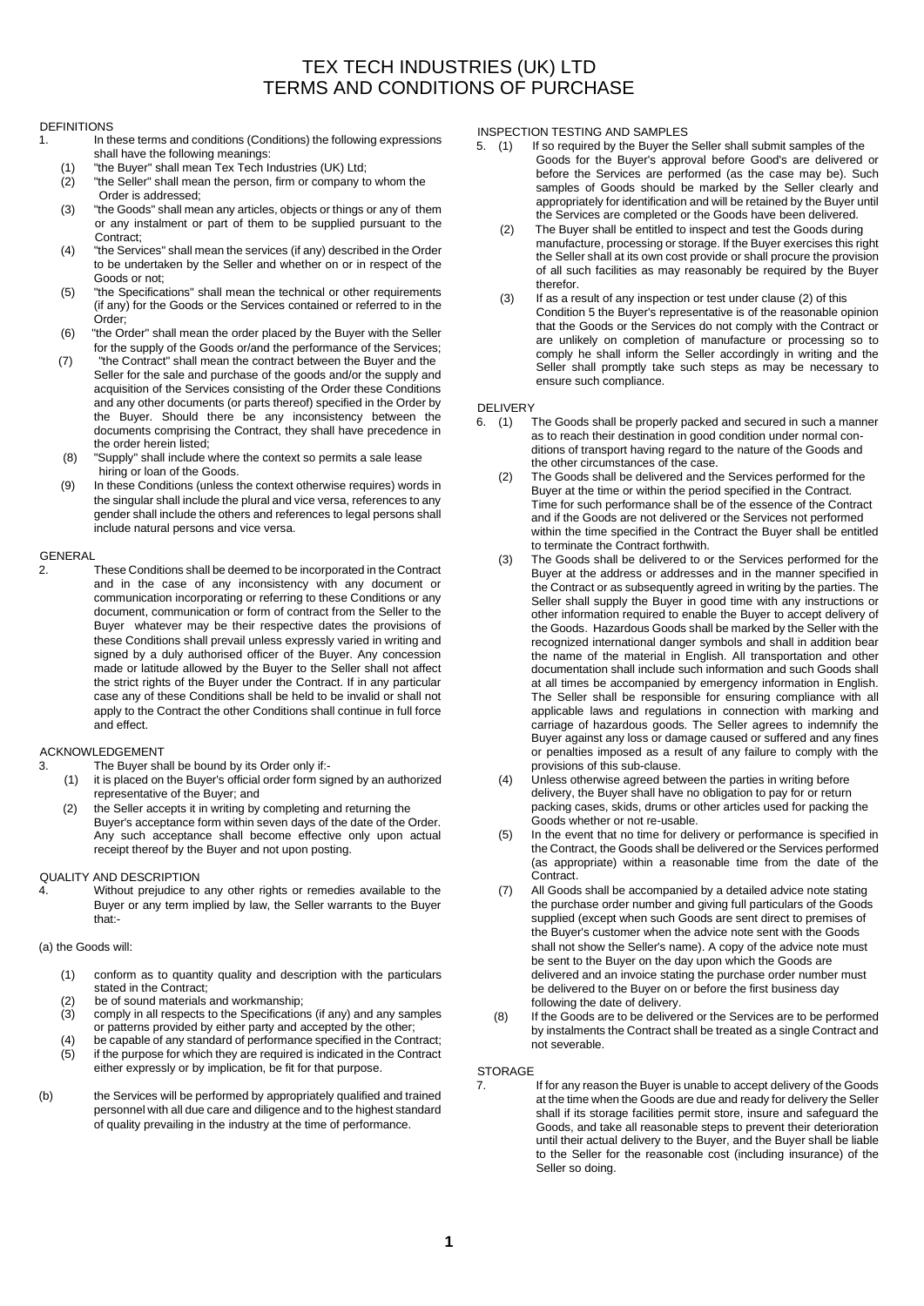# TEX TECH INDUSTRIES (UK) LTD TERMS AND CONDITIONS OF PURCHASE

#### DEFINITIONS

- 1. In these terms and conditions (Conditions) the following expressions shall have the following meanings:
	- (1) "the Buyer" shall mean Tex Tech Industries (UK) Ltd;
	- "the Seller" shall mean the person, firm or company to whom the Order is addressed;
	- (3) "the Goods" shall mean any articles, objects or things or any of them or any instalment or part of them to be supplied pursuant to the Contract:
	- (4) "the Services" shall mean the services (if any) described in the Order to be undertaken by the Seller and whether on or in respect of the Goods or not;
	- (5) "the Specifications" shall mean the technical or other requirements (if any) for the Goods or the Services contained or referred to in the Order;
	- (6) "the Order" shall mean the order placed by the Buyer with the Seller for the supply of the Goods or/and the performance of the Services;
	- (7) "the Contract" shall mean the contract between the Buyer and the Seller for the sale and purchase of the goods and/or the supply and acquisition of the Services consisting of the Order these Conditions and any other documents (or parts thereof) specified in the Order by the Buyer. Should there be any inconsistency between the documents comprising the Contract, they shall have precedence in the order herein listed;
	- (8) "Supply" shall include where the context so permits a sale lease hiring or loan of the Goods.
	- (9) In these Conditions (unless the context otherwise requires) words in the singular shall include the plural and vice versa, references to any gender shall include the others and references to legal persons shall include natural persons and vice versa.

# GENERAL<br>2.

These Conditions shall be deemed to be incorporated in the Contract and in the case of any inconsistency with any document or communication incorporating or referring to these Conditions or any document, communication or form of contract from the Seller to the Buyer whatever may be their respective dates the provisions of these Conditions shall prevail unless expressly varied in writing and signed by a duly authorised officer of the Buyer. Any concession made or latitude allowed by the Buyer to the Seller shall not affect the strict rights of the Buyer under the Contract. If in any particular case any of these Conditions shall be held to be invalid or shall not apply to the Contract the other Conditions shall continue in full force and effect.

### ACKNOWLEDGEMENT

- 3. The Buyer shall be bound by its Order only if:-
	- (1) it is placed on the Buyer's official order form signed by an authorized representative of the Buyer; and
	- (2) the Seller accepts it in writing by completing and returning the Buyer's acceptance form within seven days of the date of the Order. Any such acceptance shall become effective only upon actual receipt thereof by the Buyer and not upon posting.

## QUALITY AND DESCRIPTION

4. Without prejudice to any other rights or remedies available to the Buyer or any term implied by law, the Seller warrants to the Buyer that:-

### (a) the Goods will:

- (1) conform as to quantity quality and description with the particulars stated in the Contract;
- (2) be of sound materials and workmanship;<br>(3) comply in all respects to the Specification
- comply in all respects to the Specifications (if any) and any samples or patterns provided by either party and accepted by the other;
- (4) be capable of any standard of performance specified in the Contract; (5) if the purpose for which they are required is indicated in the Contract either expressly or by implication, be fit for that purpose.
- (b) the Services will be performed by appropriately qualified and trained personnel with all due care and diligence and to the highest standard of quality prevailing in the industry at the time of performance.

# INSPECTION TESTING AND SAMPLES<br>5. (1) If so required by the Buyer the

- If so required by the Buyer the Seller shall submit samples of the Goods for the Buyer's approval before Good's are delivered or before the Services are performed (as the case may be). Such samples of Goods should be marked by the Seller clearly and appropriately for identification and will be retained by the Buyer until the Services are completed or the Goods have been delivered.
- (2) The Buyer shall be entitled to inspect and test the Goods during manufacture, processing or storage. If the Buyer exercises this right the Seller shall at its own cost provide or shall procure the provision of all such facilities as may reasonably be required by the Buyer therefor.
- (3) If as a result of any inspection or test under clause (2) of this Condition 5 the Buyer's representative is of the reasonable opinion that the Goods or the Services do not comply with the Contract or are unlikely on completion of manufacture or processing so to comply he shall inform the Seller accordingly in writing and the Seller shall promptly take such steps as may be necessary to ensure such compliance.

# DELIVERY<br>6. (1)

- The Goods shall be properly packed and secured in such a manner as to reach their destination in good condition under normal conditions of transport having regard to the nature of the Goods and the other circumstances of the case.
- (2) The Goods shall be delivered and the Services performed for the Buyer at the time or within the period specified in the Contract. Time for such performance shall be of the essence of the Contract and if the Goods are not delivered or the Services not performed within the time specified in the Contract the Buyer shall be entitled to terminate the Contract forthwith.
- (3) The Goods shall be delivered to or the Services performed for the Buyer at the address or addresses and in the manner specified in the Contract or as subsequently agreed in writing by the parties. The Seller shall supply the Buyer in good time with any instructions or other information required to enable the Buyer to accept delivery of the Goods. Hazardous Goods shall be marked by the Seller with the recognized international danger symbols and shall in addition bear the name of the material in English. All transportation and other documentation shall include such information and such Goods shall at all times be accompanied by emergency information in English. The Seller shall be responsible for ensuring compliance with all applicable laws and regulations in connection with marking and carriage of hazardous goods. The Seller agrees to indemnify the Buyer against any loss or damage caused or suffered and any fines or penalties imposed as a result of any failure to comply with the provisions of this sub-clause.
- (4) Unless otherwise agreed between the parties in writing before delivery, the Buyer shall have no obligation to pay for or return packing cases, skids, drums or other articles used for packing the Goods whether or not re-usable.
- (5) In the event that no time for delivery or performance is specified in the Contract, the Goods shall be delivered or the Services performed (as appropriate) within a reasonable time from the date of the Contract.
- (7) All Goods shall be accompanied by a detailed advice note stating the purchase order number and giving full particulars of the Goods supplied (except when such Goods are sent direct to premises of the Buyer's customer when the advice note sent with the Goods shall not show the Seller's name). A copy of the advice note must be sent to the Buyer on the day upon which the Goods are delivered and an invoice stating the purchase order number must be delivered to the Buyer on or before the first business day following the date of delivery.
- (8) If the Goods are to be delivered or the Services are to be performed by instalments the Contract shall be treated as a single Contract and not severable.

### **STORAGE**

7. If for any reason the Buyer is unable to accept delivery of the Goods at the time when the Goods are due and ready for delivery the Seller shall if its storage facilities permit store, insure and safeguard the Goods, and take all reasonable steps to prevent their deterioration until their actual delivery to the Buyer, and the Buyer shall be liable to the Seller for the reasonable cost (including insurance) of the Seller so doing.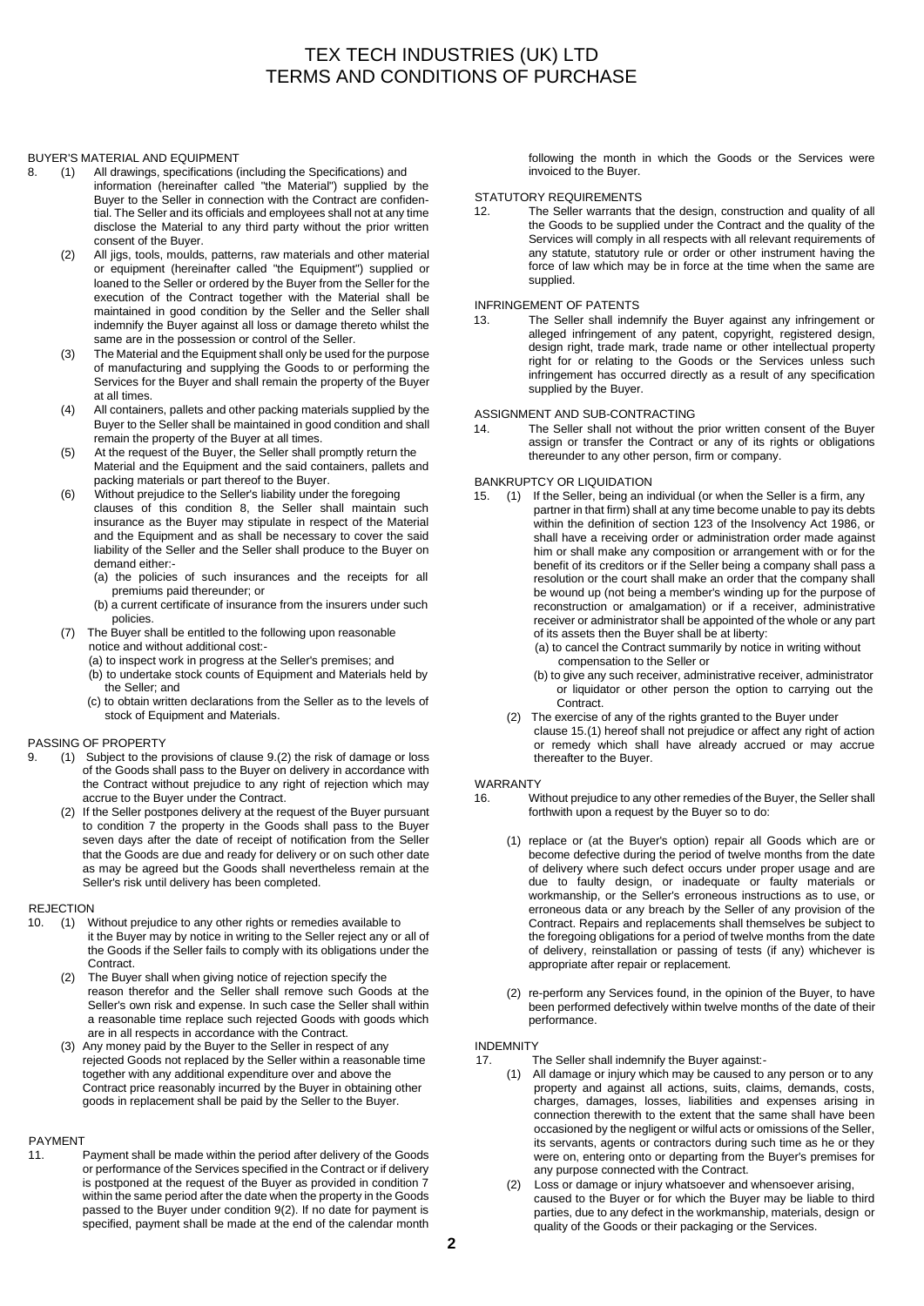## TEX TECH INDUSTRIES (UK) LTD TERMS AND CONDITIONS OF PURCHASE

#### BUYER'S MATERIAL AND EQUIPMENT

- 8. (1) All drawings, specifications (including the Specifications) and information (hereinafter called "the Material") supplied by the Buyer to the Seller in connection with the Contract are confidential. The Seller and its officials and employees shall not at any time disclose the Material to any third party without the prior written consent of the Buyer.
	- (2) All jigs, tools, moulds, patterns, raw materials and other material or equipment (hereinafter called "the Equipment") supplied or loaned to the Seller or ordered by the Buyer from the Seller for the execution of the Contract together with the Material shall be maintained in good condition by the Seller and the Seller shall indemnify the Buyer against all loss or damage thereto whilst the same are in the possession or control of the Seller.
	- (3) The Material and the Equipment shall only be used for the purpose of manufacturing and supplying the Goods to or performing the Services for the Buyer and shall remain the property of the Buyer at all times.
	- (4) All containers, pallets and other packing materials supplied by the Buyer to the Seller shall be maintained in good condition and shall remain the property of the Buyer at all times.
	- (5) At the request of the Buyer, the Seller shall promptly return the Material and the Equipment and the said containers, pallets and packing materials or part thereof to the Buyer.
	- (6) Without prejudice to the Seller's liability under the foregoing clauses of this condition 8, the Seller shall maintain such insurance as the Buyer may stipulate in respect of the Material and the Equipment and as shall be necessary to cover the said liability of the Seller and the Seller shall produce to the Buyer on demand either:-
		- (a) the policies of such insurances and the receipts for all premiums paid thereunder; or
		- (b) a current certificate of insurance from the insurers under such policies.
	- (7) The Buyer shall be entitled to the following upon reasonable notice and without additional cost:-
		- (a) to inspect work in progress at the Seller's premises; and
		- (b) to undertake stock counts of Equipment and Materials held by the Seller; and
		- (c) to obtain written declarations from the Seller as to the levels of stock of Equipment and Materials.

#### PASSING OF PROPERTY

- 9. (1) Subject to the provisions of clause 9.(2) the risk of damage or loss of the Goods shall pass to the Buyer on delivery in accordance with the Contract without prejudice to any right of rejection which may accrue to the Buyer under the Contract.
	- (2) If the Seller postpones delivery at the request of the Buyer pursuant to condition 7 the property in the Goods shall pass to the Buyer seven days after the date of receipt of notification from the Seller that the Goods are due and ready for delivery or on such other date as may be agreed but the Goods shall nevertheless remain at the Seller's risk until delivery has been completed.

# REJECTION<br>10. (1) V

- Without prejudice to any other rights or remedies available to it the Buyer may by notice in writing to the Seller reject any or all of the Goods if the Seller fails to comply with its obligations under the Contract.
	- (2) The Buyer shall when giving notice of rejection specify the reason therefor and the Seller shall remove such Goods at the Seller's own risk and expense. In such case the Seller shall within a reasonable time replace such rejected Goods with goods which are in all respects in accordance with the Contract.
	- (3) Any money paid by the Buyer to the Seller in respect of any rejected Goods not replaced by the Seller within a reasonable time together with any additional expenditure over and above the Contract price reasonably incurred by the Buyer in obtaining other goods in replacement shall be paid by the Seller to the Buyer.

#### PAYMENT

11. Payment shall be made within the period after delivery of the Goods or performance of the Services specified in the Contract or if delivery is postponed at the request of the Buyer as provided in condition 7 within the same period after the date when the property in the Goods passed to the Buyer under condition 9(2). If no date for payment is specified, payment shall be made at the end of the calendar month following the month in which the Goods or the Services were invoiced to the Buyer.

### STATUTORY REQUIREMENTS

12. The Seller warrants that the design, construction and quality of all the Goods to be supplied under the Contract and the quality of the Services will comply in all respects with all relevant requirements of any statute, statutory rule or order or other instrument having the force of law which may be in force at the time when the same are supplied.

### INFRINGEMENT OF PATENTS

13. The Seller shall indemnify the Buyer against any infringement or alleged infringement of any patent, copyright, registered design, design right, trade mark, trade name or other intellectual property right for or relating to the Goods or the Services unless such infringement has occurred directly as a result of any specification supplied by the Buyer.

#### ASSIGNMENT AND SUB-CONTRACTING

14. The Seller shall not without the prior written consent of the Buyer assign or transfer the Contract or any of its rights or obligations thereunder to any other person, firm or company.

#### BANKRUPTCY OR LIQUIDATION

- 15. (1) If the Seller, being an individual (or when the Seller is a firm, any partner in that firm) shall at any time become unable to pay its debts within the definition of section 123 of the Insolvency Act 1986, or shall have a receiving order or administration order made against him or shall make any composition or arrangement with or for the benefit of its creditors or if the Seller being a company shall pass a resolution or the court shall make an order that the company shall be wound up (not being a member's winding up for the purpose of reconstruction or amalgamation) or if a receiver, administrative receiver or administrator shall be appointed of the whole or any part of its assets then the Buyer shall be at liberty:
	- (a) to cancel the Contract summarily by notice in writing without compensation to the Seller or
	- (b) to give any such receiver, administrative receiver, administrator or liquidator or other person the option to carrying out the Contract.
	- (2) The exercise of any of the rights granted to the Buyer under clause 15.(1) hereof shall not prejudice or affect any right of action or remedy which shall have already accrued or may accrue thereafter to the Buyer.

#### WARRANTY

- 16. Without prejudice to any other remedies of the Buyer, the Seller shall forthwith upon a request by the Buyer so to do:
	- (1) replace or (at the Buyer's option) repair all Goods which are or become defective during the period of twelve months from the date of delivery where such defect occurs under proper usage and are due to faulty design, or inadequate or faulty materials or workmanship, or the Seller's erroneous instructions as to use, or erroneous data or any breach by the Seller of any provision of the Contract. Repairs and replacements shall themselves be subject to the foregoing obligations for a period of twelve months from the date of delivery, reinstallation or passing of tests (if any) whichever is appropriate after repair or replacement.
	- (2) re-perform any Services found, in the opinion of the Buyer, to have been performed defectively within twelve months of the date of their performance.

#### INDEMNITY

- 17. The Seller shall indemnify the Buyer against:-
	- (1) All damage or injury which may be caused to any person or to any property and against all actions, suits, claims, demands, costs, charges, damages, losses, liabilities and expenses arising in connection therewith to the extent that the same shall have been occasioned by the negligent or wilful acts or omissions of the Seller, its servants, agents or contractors during such time as he or they were on, entering onto or departing from the Buyer's premises for any purpose connected with the Contract.
	- (2) Loss or damage or injury whatsoever and whensoever arising, caused to the Buyer or for which the Buyer may be liable to third parties, due to any defect in the workmanship, materials, design or quality of the Goods or their packaging or the Services.